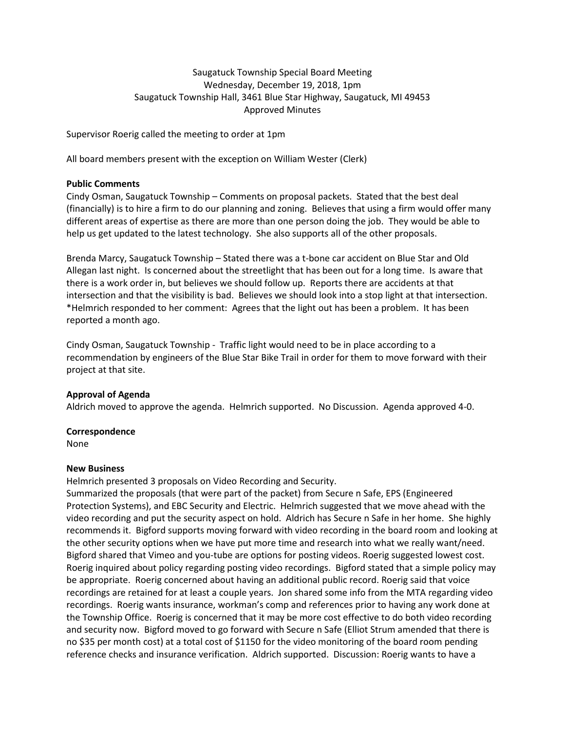# Saugatuck Township Special Board Meeting Wednesday, December 19, 2018, 1pm Saugatuck Township Hall, 3461 Blue Star Highway, Saugatuck, MI 49453 Approved Minutes

Supervisor Roerig called the meeting to order at 1pm

All board members present with the exception on William Wester (Clerk)

#### **Public Comments**

Cindy Osman, Saugatuck Township – Comments on proposal packets. Stated that the best deal (financially) is to hire a firm to do our planning and zoning. Believes that using a firm would offer many different areas of expertise as there are more than one person doing the job. They would be able to help us get updated to the latest technology. She also supports all of the other proposals.

Brenda Marcy, Saugatuck Township – Stated there was a t-bone car accident on Blue Star and Old Allegan last night. Is concerned about the streetlight that has been out for a long time. Is aware that there is a work order in, but believes we should follow up. Reports there are accidents at that intersection and that the visibility is bad. Believes we should look into a stop light at that intersection. \*Helmrich responded to her comment: Agrees that the light out has been a problem. It has been reported a month ago.

Cindy Osman, Saugatuck Township - Traffic light would need to be in place according to a recommendation by engineers of the Blue Star Bike Trail in order for them to move forward with their project at that site.

### **Approval of Agenda**

Aldrich moved to approve the agenda. Helmrich supported. No Discussion. Agenda approved 4-0.

#### **Correspondence**

None

### **New Business**

Helmrich presented 3 proposals on Video Recording and Security.

Summarized the proposals (that were part of the packet) from Secure n Safe, EPS (Engineered Protection Systems), and EBC Security and Electric. Helmrich suggested that we move ahead with the video recording and put the security aspect on hold. Aldrich has Secure n Safe in her home. She highly recommends it. Bigford supports moving forward with video recording in the board room and looking at the other security options when we have put more time and research into what we really want/need. Bigford shared that Vimeo and you-tube are options for posting videos. Roerig suggested lowest cost. Roerig inquired about policy regarding posting video recordings. Bigford stated that a simple policy may be appropriate. Roerig concerned about having an additional public record. Roerig said that voice recordings are retained for at least a couple years. Jon shared some info from the MTA regarding video recordings. Roerig wants insurance, workman's comp and references prior to having any work done at the Township Office. Roerig is concerned that it may be more cost effective to do both video recording and security now. Bigford moved to go forward with Secure n Safe (Elliot Strum amended that there is no \$35 per month cost) at a total cost of \$1150 for the video monitoring of the board room pending reference checks and insurance verification. Aldrich supported. Discussion: Roerig wants to have a